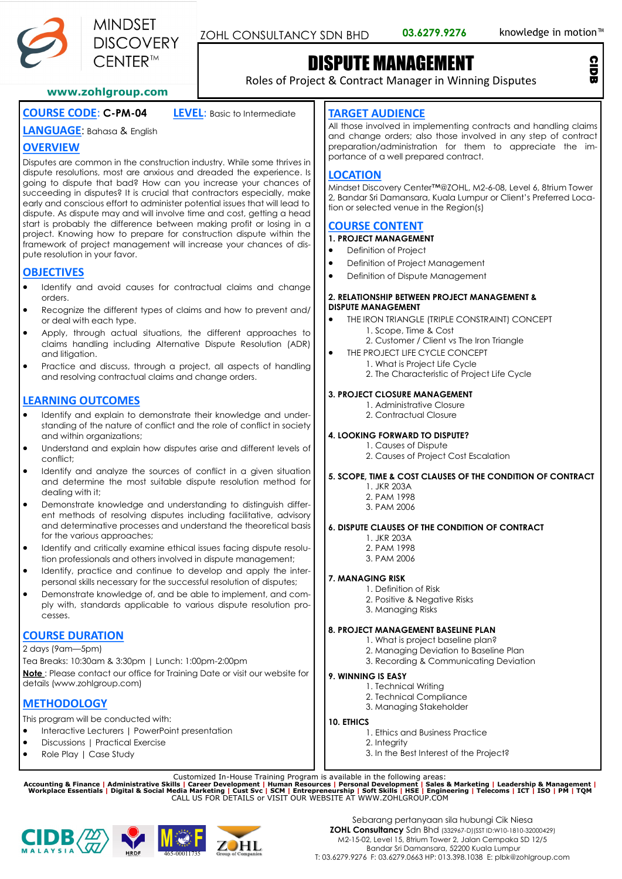

ZOHL CONSULTANCY SDN BHD 03.6279.9276 knowledge in motion<sup>™</sup>

CIDB

# DISPUTE MANAGEMENT

Roles of Project & Contract Manager in Winning Disputes

#### **www.zohlgroup.com**

# **COURSE CODE**: **C-PM-04 LEVEL**: Basic to Intermediate

## **LANGUAGE**: Bahasa & English

## **OVERVIEW**

Disputes are common in the construction industry. While some thrives in dispute resolutions, most are anxious and dreaded the experience. Is going to dispute that bad? How can you increase your chances of succeeding in disputes? It is crucial that contractors especially, make early and conscious effort to administer potential issues that will lead to dispute. As dispute may and will involve time and cost, getting a head start is probably the difference between making profit or losing in a project. Knowing how to prepare for construction dispute within the framework of project management will increase your chances of dispute resolution in your favor.

## **OBJECTIVES**

- Identify and avoid causes for contractual claims and change orders.
- Recognize the different types of claims and how to prevent and/ or deal with each type.
- Apply, through actual situations, the different approaches to claims handling including Alternative Dispute Resolution (ADR) and litigation.
- Practice and discuss, through a project, all aspects of handling and resolving contractual claims and change orders.

## **LEARNING OUTCOMES**

- Identify and explain to demonstrate their knowledge and understanding of the nature of conflict and the role of conflict in society and within organizations;
- Understand and explain how disputes arise and different levels of conflict;
- Identify and analyze the sources of conflict in a given situation and determine the most suitable dispute resolution method for dealing with it;
- Demonstrate knowledge and understanding to distinguish different methods of resolving disputes including facilitative, advisory and determinative processes and understand the theoretical basis for the various approaches;
- Identify and critically examine ethical issues facing dispute resolution professionals and others involved in dispute management;
- Identify, practice and continue to develop and apply the interpersonal skills necessary for the successful resolution of disputes;
- Demonstrate knowledge of, and be able to implement, and comply with, standards applicable to various dispute resolution processes.

## **COURSE DURATION**

2 days (9am—5pm)

Tea Breaks: 10:30am & 3:30pm | Lunch: 1:00pm-2:00pm **Note** : Please contact our office for Training Date or visit our website for details (www.zohlaroup.com)

## **METHODOLOGY**

This program will be conducted with:

- Interactive Lecturers | PowerPoint presentation
- Discussions | Practical Exercise
- Role Play | Case Study

## **TARGET AUDIENCE**

All those involved in implementing contracts and handling claims and change orders; also those involved in any step of contract preparation/administration for them to appreciate the importance of a well prepared contract.

## **LOCATION**

Mindset Discovery Center™@ZOHL, M2-6-08, Level 6, 8trium Tower 2, Bandar Sri Damansara, Kuala Lumpur or Client's Preferred Location or selected venue in the Region(s)

## **COURSE CONTENT**

**1. PROJECT MANAGEMENT**

- Definition of Project
- Definition of Project Management
- Definition of Dispute Management

#### **2. RELATIONSHIP BETWEEN PROJECT MANAGEMENT & DISPUTE MANAGEMENT**

- THE IRON TRIANGLE (TRIPLE CONSTRAINT) CONCEPT 1. Scope, Time & Cost
	- 2. Customer / Client vs The Iron Triangle
- THE PROJECT LIFE CYCLE CONCEPT
	- 1. What is Project Life Cycle 2. The Characteristic of Project Life Cycle

#### **3. PROJECT CLOSURE MANAGEMENT**

- 1. Administrative Closure
	- 2. Contractual Closure

## **4. LOOKING FORWARD TO DISPUTE?**

- 1. Causes of Dispute
- 2. Causes of Project Cost Escalation

#### **5. SCOPE, TIME & COST CLAUSES OF THE CONDITION OF CONTRACT**

- 1. JKR 203A
- 2. PAM 1998 3. PAM 2006

## **6. DISPUTE CLAUSES OF THE CONDITION OF CONTRACT**

- 1. JKR 203A
- 2. PAM 1998
- 3. PAM 2006

#### **7. MANAGING RISK**

- 1. Definition of Risk
	- 2. Positive & Negative Risks
- 3. Managing Risks

#### **8. PROJECT MANAGEMENT BASELINE PLAN**

- 1. What is project baseline plan?
- 2. Managing Deviation to Baseline Plan
- 3. Recording & Communicating Deviation

#### **9. WINNING IS EASY**

- 1. Technical Writing
- 2. Technical Compliance
- 3. Managing Stakeholder

#### **10. ETHICS**

- 1. Ethics and Business Practice
	- 2. Integrity
	- 3. In the Best Interest of the Project?

Customized In-House Training Program is available in the following areas:<br>Accounting & Finance | Administrative Skills | Career Development | Human Resources | Personal Development | Sales & Marketing | Leadership & Manage





Sebarang pertanyaan sila hubungi Cik Niesa **ZOHL Consultancy** Sdn Bhd (332967-D)(SST ID:W10-1810-32000429) M2-15-02, Level 15, 8trium Tower 2, Jalan Cempaka SD 12/5 Bandar Sri Damansara, 52200 Kuala Lumpur T: 03.6279.9276 F: 03.6279.0663 HP: 013.398.1038 E: plbk@zohlgroup.com